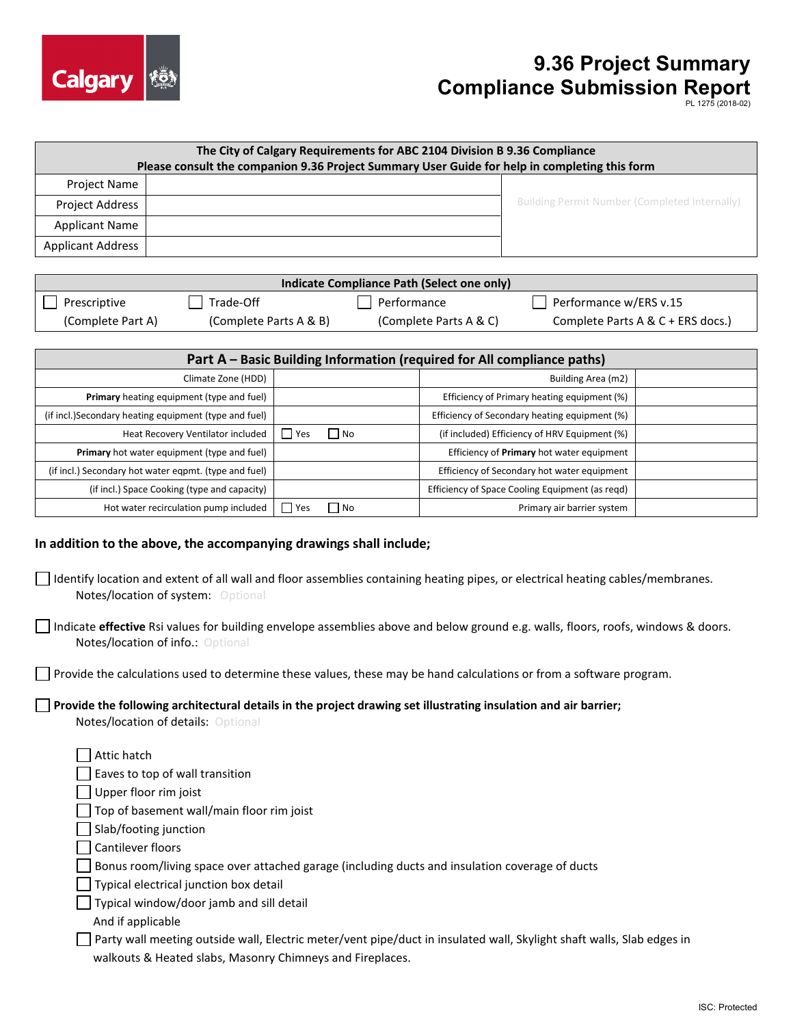

## **9.36 Project Summary Compliance Submission Report**

| The City of Calgary Requirements for ABC 2104 Division B 9.36 Compliance<br>Please consult the companion 9.36 Project Summary User Guide for help in completing this form                                                                          |                                                                                                     |              |                   |                                                                                              |                                                                         |                                   |
|----------------------------------------------------------------------------------------------------------------------------------------------------------------------------------------------------------------------------------------------------|-----------------------------------------------------------------------------------------------------|--------------|-------------------|----------------------------------------------------------------------------------------------|-------------------------------------------------------------------------|-----------------------------------|
| Project Name                                                                                                                                                                                                                                       |                                                                                                     |              |                   |                                                                                              |                                                                         |                                   |
| Project Address                                                                                                                                                                                                                                    |                                                                                                     |              |                   |                                                                                              | <b>Building Permit Number (Completed Internally)</b>                    |                                   |
| <b>Applicant Name</b>                                                                                                                                                                                                                              |                                                                                                     |              |                   |                                                                                              |                                                                         |                                   |
| <b>Applicant Address</b>                                                                                                                                                                                                                           |                                                                                                     |              |                   |                                                                                              |                                                                         |                                   |
|                                                                                                                                                                                                                                                    |                                                                                                     |              |                   |                                                                                              |                                                                         |                                   |
|                                                                                                                                                                                                                                                    |                                                                                                     |              |                   | Indicate Compliance Path (Select one only)                                                   |                                                                         |                                   |
| Prescriptive                                                                                                                                                                                                                                       | Trade-Off                                                                                           |              | Performance       |                                                                                              | Performance w/ERS v.15                                                  |                                   |
| (Complete Part A)                                                                                                                                                                                                                                  | (Complete Parts A & B)                                                                              |              |                   | (Complete Parts A & C)                                                                       |                                                                         | Complete Parts A & C + ERS docs.) |
|                                                                                                                                                                                                                                                    |                                                                                                     |              |                   |                                                                                              |                                                                         |                                   |
|                                                                                                                                                                                                                                                    |                                                                                                     |              |                   |                                                                                              | Part A - Basic Building Information (required for All compliance paths) |                                   |
|                                                                                                                                                                                                                                                    | Climate Zone (HDD)                                                                                  |              |                   | Building Area (m2)                                                                           |                                                                         |                                   |
|                                                                                                                                                                                                                                                    | Primary heating equipment (type and fuel)<br>(if incl.) Secondary heating equipment (type and fuel) |              |                   | Efficiency of Primary heating equipment (%)<br>Efficiency of Secondary heating equipment (%) |                                                                         |                                   |
|                                                                                                                                                                                                                                                    | Heat Recovery Ventilator included                                                                   | $\Gamma$ Yes | $\blacksquare$ No |                                                                                              | (if included) Efficiency of HRV Equipment (%)                           |                                   |
| Primary hot water equipment (type and fuel)                                                                                                                                                                                                        |                                                                                                     |              |                   | Efficiency of Primary hot water equipment                                                    |                                                                         |                                   |
|                                                                                                                                                                                                                                                    | (if incl.) Secondary hot water eqpmt. (type and fuel)                                               |              |                   | Efficiency of Secondary hot water equipment                                                  |                                                                         |                                   |
|                                                                                                                                                                                                                                                    | (if incl.) Space Cooking (type and capacity)                                                        |              |                   | Efficiency of Space Cooling Equipment (as reqd)                                              |                                                                         |                                   |
| Hot water recirculation pump included                                                                                                                                                                                                              |                                                                                                     | $\Box$ Yes   | No.               | Primary air barrier system                                                                   |                                                                         |                                   |
| In addition to the above, the accompanying drawings shall include;<br>$\Box$ Identify location and extent of all wall and floor assemblies containing heating pipes, or electrical heating cables/membranes.<br>Notes/location of system: Optional |                                                                                                     |              |                   |                                                                                              |                                                                         |                                   |
| Indicate effective Rsi values for building envelope assemblies above and below ground e.g. walls, floors, roofs, windows & doors.<br>Notes/location of info.: Optional                                                                             |                                                                                                     |              |                   |                                                                                              |                                                                         |                                   |
| $\Box$ Provide the calculations used to determine these values, these may be hand calculations or from a software program.                                                                                                                         |                                                                                                     |              |                   |                                                                                              |                                                                         |                                   |
| $\Box$ Provide the following architectural details in the project drawing set illustrating insulation and air barrier;<br>Notes/location of details: Optional                                                                                      |                                                                                                     |              |                   |                                                                                              |                                                                         |                                   |
| Attic hatch                                                                                                                                                                                                                                        |                                                                                                     |              |                   |                                                                                              |                                                                         |                                   |
|                                                                                                                                                                                                                                                    | Eaves to top of wall transition                                                                     |              |                   |                                                                                              |                                                                         |                                   |
|                                                                                                                                                                                                                                                    | Upper floor rim joist                                                                               |              |                   |                                                                                              |                                                                         |                                   |
|                                                                                                                                                                                                                                                    | Top of basement wall/main floor rim joist                                                           |              |                   |                                                                                              |                                                                         |                                   |
| Slab/footing junction                                                                                                                                                                                                                              |                                                                                                     |              |                   |                                                                                              |                                                                         |                                   |

Bonus room/living space over attached garage (including ducts and insulation coverage of ducts

Typical electrical junction box detail

Typical window/door jamb and sill detail

And if applicable

Party wall meeting outside wall, Electric meter/vent pipe/duct in insulated wall, Skylight shaft walls, Slab edges in walkouts & Heated slabs, Masonry Chimneys and Fireplaces.